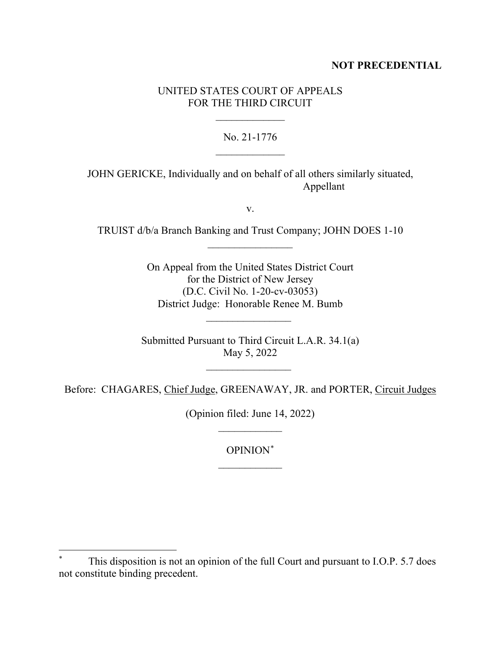## **NOT PRECEDENTIAL**

# UNITED STATES COURT OF APPEALS FOR THE THIRD CIRCUIT

 $\frac{1}{2}$ 

No. 21-1776  $\frac{1}{2}$ 

JOHN GERICKE, Individually and on behalf of all others similarly situated, Appellant

v.

TRUIST d/b/a Branch Banking and Trust Company; JOHN DOES 1-10  $\frac{1}{2}$ 

> On Appeal from the United States District Court for the District of New Jersey (D.C. Civil No. 1-20-cv-03053) District Judge: Honorable Renee M. Bumb

Submitted Pursuant to Third Circuit L.A.R. 34.1(a) May 5, 2022

 $\overline{\phantom{a}}$  , where  $\overline{\phantom{a}}$ 

 $\overline{\phantom{a}}$  , where  $\overline{\phantom{a}}$ 

Before: CHAGARES, Chief Judge, GREENAWAY, JR. and PORTER, Circuit Judges

(Opinion filed: June 14, 2022)  $\frac{1}{2}$ 

> OPINION\*  $\overline{\phantom{a}}$

This disposition is not an opinion of the full Court and pursuant to I.O.P. 5.7 does not constitute binding precedent.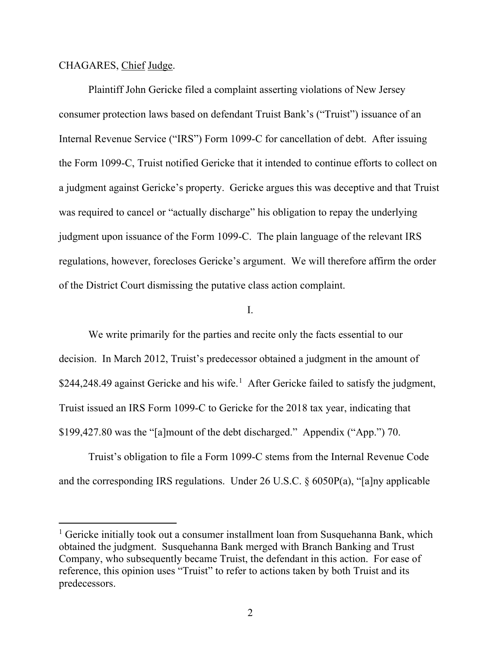#### CHAGARES, Chief Judge.

Plaintiff John Gericke filed a complaint asserting violations of New Jersey consumer protection laws based on defendant Truist Bank's ("Truist") issuance of an Internal Revenue Service ("IRS") Form 1099-C for cancellation of debt. After issuing the Form 1099-C, Truist notified Gericke that it intended to continue efforts to collect on a judgment against Gericke's property. Gericke argues this was deceptive and that Truist was required to cancel or "actually discharge" his obligation to repay the underlying judgment upon issuance of the Form 1099-C. The plain language of the relevant IRS regulations, however, forecloses Gericke's argument. We will therefore affirm the order of the District Court dismissing the putative class action complaint.

#### I.

We write primarily for the parties and recite only the facts essential to our decision. In March 2012, Truist's predecessor obtained a judgment in the amount of \$244,248.49 against Gericke and his wife.<sup>1</sup> After Gericke failed to satisfy the judgment, Truist issued an IRS Form 1099-C to Gericke for the 2018 tax year, indicating that \$199,427.80 was the "[a]mount of the debt discharged." Appendix ("App.") 70.

Truist's obligation to file a Form 1099-C stems from the Internal Revenue Code and the corresponding IRS regulations. Under 26 U.S.C. § 6050P(a), "[a]ny applicable

<sup>&</sup>lt;sup>1</sup> Gericke initially took out a consumer installment loan from Susquehanna Bank, which obtained the judgment. Susquehanna Bank merged with Branch Banking and Trust Company, who subsequently became Truist, the defendant in this action. For ease of reference, this opinion uses "Truist" to refer to actions taken by both Truist and its predecessors.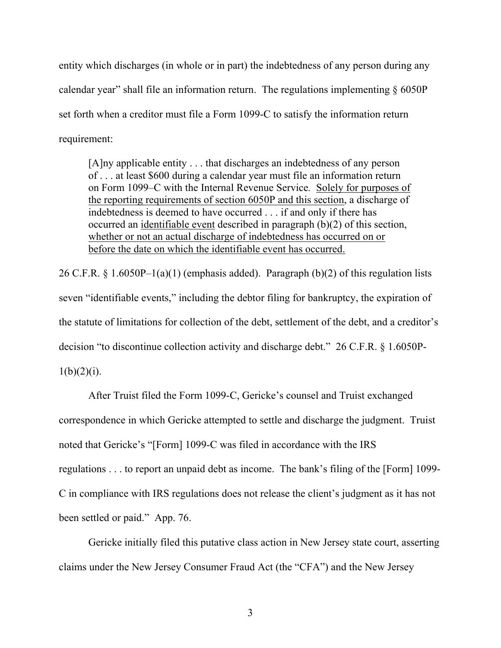entity which discharges (in whole or in part) the indebtedness of any person during any calendar year" shall file an information return. The regulations implementing  $\S 6050P$ set forth when a creditor must file a Form 1099-C to satisfy the information return requirement:

[A]ny applicable entity . . . that discharges an indebtedness of any person of . . . at least \$600 during a calendar year must file an information return on Form 1099–C with the Internal Revenue Service*.* Solely for purposes of the reporting requirements of section 6050P and this section, a discharge of indebtedness is deemed to have occurred . . . if and only if there has occurred an identifiable event described in paragraph (b)(2) of this section, whether or not an actual discharge of indebtedness has occurred on or before the date on which the identifiable event has occurred.

26 C.F.R. § 1.6050P-1(a)(1) (emphasis added). Paragraph (b)(2) of this regulation lists seven "identifiable events," including the debtor filing for bankruptcy, the expiration of the statute of limitations for collection of the debt, settlement of the debt, and a creditor's decision "to discontinue collection activity and discharge debt." 26 C.F.R. § 1.6050P- $1(b)(2)(i)$ .

After Truist filed the Form 1099-C, Gericke's counsel and Truist exchanged correspondence in which Gericke attempted to settle and discharge the judgment. Truist noted that Gericke's "[Form] 1099-C was filed in accordance with the IRS regulations . . . to report an unpaid debt as income. The bank's filing of the [Form] 1099- C in compliance with IRS regulations does not release the client's judgment as it has not been settled or paid." App. 76.

Gericke initially filed this putative class action in New Jersey state court, asserting claims under the New Jersey Consumer Fraud Act (the "CFA") and the New Jersey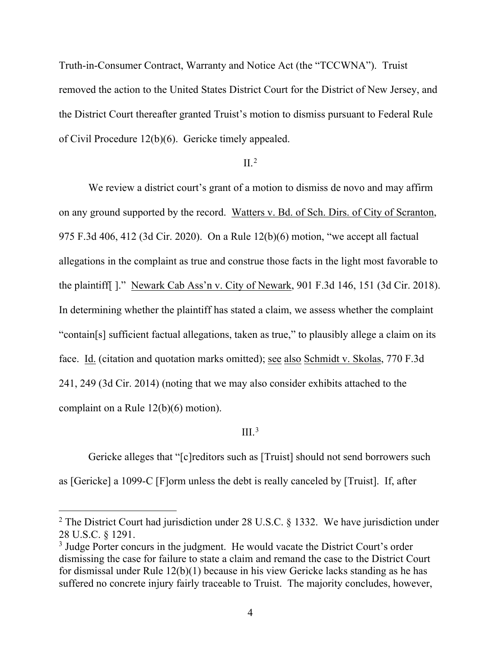Truth-in-Consumer Contract, Warranty and Notice Act (the "TCCWNA"). Truist removed the action to the United States District Court for the District of New Jersey, and the District Court thereafter granted Truist's motion to dismiss pursuant to Federal Rule of Civil Procedure 12(b)(6). Gericke timely appealed.

#### $II.<sup>2</sup>$

We review a district court's grant of a motion to dismiss de novo and may affirm on any ground supported by the record. Watters v. Bd. of Sch. Dirs. of City of Scranton, 975 F.3d 406, 412 (3d Cir. 2020). On a Rule 12(b)(6) motion, "we accept all factual allegations in the complaint as true and construe those facts in the light most favorable to the plaintiff[ ]." Newark Cab Ass'n v. City of Newark, 901 F.3d 146, 151 (3d Cir. 2018). In determining whether the plaintiff has stated a claim, we assess whether the complaint "contain[s] sufficient factual allegations, taken as true," to plausibly allege a claim on its face. Id. (citation and quotation marks omitted); see also Schmidt v. Skolas, 770 F.3d 241, 249 (3d Cir. 2014) (noting that we may also consider exhibits attached to the complaint on a Rule 12(b)(6) motion).

#### $III<sup>3</sup>$

Gericke alleges that "[c]reditors such as [Truist] should not send borrowers such as [Gericke] a 1099-C [F]orm unless the debt is really canceled by [Truist]. If, after

<sup>&</sup>lt;sup>2</sup> The District Court had jurisdiction under 28 U.S.C. § 1332. We have jurisdiction under 28 U.S.C. § 1291.

<sup>&</sup>lt;sup>3</sup> Judge Porter concurs in the judgment. He would vacate the District Court's order dismissing the case for failure to state a claim and remand the case to the District Court for dismissal under Rule 12(b)(1) because in his view Gericke lacks standing as he has suffered no concrete injury fairly traceable to Truist. The majority concludes, however,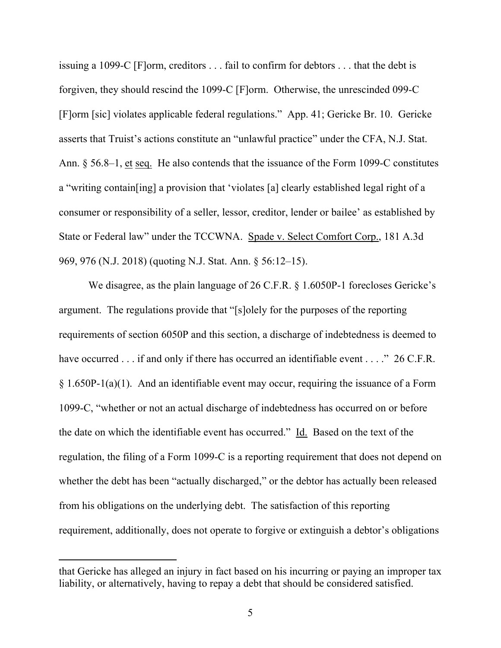issuing a 1099-C [F]orm, creditors . . . fail to confirm for debtors . . . that the debt is forgiven, they should rescind the 1099-C [F]orm. Otherwise, the unrescinded 099-C [F]orm [sic] violates applicable federal regulations." App. 41; Gericke Br. 10. Gericke asserts that Truist's actions constitute an "unlawful practice" under the CFA, N.J. Stat. Ann. § 56.8–1, et seq. He also contends that the issuance of the Form 1099-C constitutes a "writing contain[ing] a provision that 'violates [a] clearly established legal right of a consumer or responsibility of a seller, lessor, creditor, lender or bailee' as established by State or Federal law" under the TCCWNA. Spade v. Select Comfort Corp., 181 A.3d 969, 976 (N.J. 2018) (quoting N.J. Stat. Ann. § 56:12–15).

We disagree, as the plain language of 26 C.F.R. § 1.6050P-1 forecloses Gericke's argument. The regulations provide that "[s]olely for the purposes of the reporting requirements of section 6050P and this section, a discharge of indebtedness is deemed to have occurred . . . if and only if there has occurred an identifiable event . . . ." 26 C.F.R. § 1.650P-1(a)(1). And an identifiable event may occur, requiring the issuance of a Form 1099-C, "whether or not an actual discharge of indebtedness has occurred on or before the date on which the identifiable event has occurred." Id. Based on the text of the regulation, the filing of a Form 1099-C is a reporting requirement that does not depend on whether the debt has been "actually discharged," or the debtor has actually been released from his obligations on the underlying debt. The satisfaction of this reporting requirement, additionally, does not operate to forgive or extinguish a debtor's obligations

that Gericke has alleged an injury in fact based on his incurring or paying an improper tax liability, or alternatively, having to repay a debt that should be considered satisfied.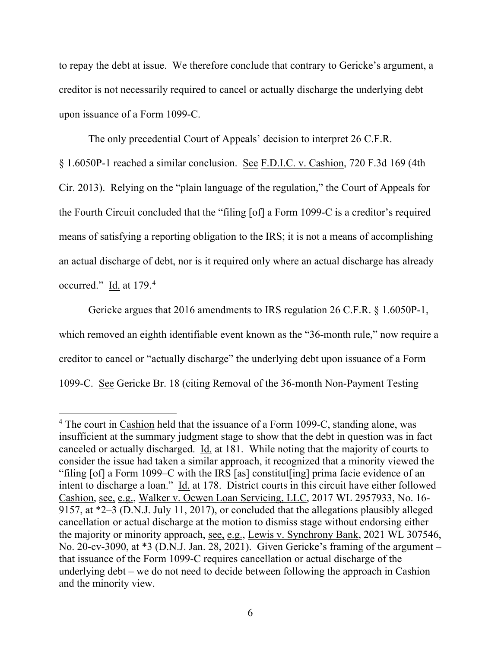to repay the debt at issue. We therefore conclude that contrary to Gericke's argument, a creditor is not necessarily required to cancel or actually discharge the underlying debt upon issuance of a Form 1099-C.

The only precedential Court of Appeals' decision to interpret 26 C.F.R.

§ 1.6050P-1 reached a similar conclusion. See F.D.I.C. v. Cashion, 720 F.3d 169 (4th Cir. 2013). Relying on the "plain language of the regulation," the Court of Appeals for the Fourth Circuit concluded that the "filing [of] a Form 1099-C is a creditor's required means of satisfying a reporting obligation to the IRS; it is not a means of accomplishing an actual discharge of debt, nor is it required only where an actual discharge has already occurred." Id. at 179.4

Gericke argues that 2016 amendments to IRS regulation 26 C.F.R. § 1.6050P-1, which removed an eighth identifiable event known as the "36-month rule," now require a creditor to cancel or "actually discharge" the underlying debt upon issuance of a Form 1099-C. See Gericke Br. 18 (citing Removal of the 36-month Non-Payment Testing

 $4$  The court in Cashion held that the issuance of a Form 1099-C, standing alone, was insufficient at the summary judgment stage to show that the debt in question was in fact canceled or actually discharged. Id. at 181. While noting that the majority of courts to consider the issue had taken a similar approach, it recognized that a minority viewed the "filing [of] a Form 1099–C with the IRS [as] constitut[ing] prima facie evidence of an intent to discharge a loan." Id. at 178. District courts in this circuit have either followed Cashion, see, e.g., Walker v. Ocwen Loan Servicing, LLC, 2017 WL 2957933, No. 16- 9157, at \*2–3 (D.N.J. July 11, 2017), or concluded that the allegations plausibly alleged cancellation or actual discharge at the motion to dismiss stage without endorsing either the majority or minority approach, see, e.g., Lewis v. Synchrony Bank, 2021 WL 307546, No. 20-cv-3090, at \*3 (D.N.J. Jan. 28, 2021). Given Gericke's framing of the argument – that issuance of the Form 1099-C requires cancellation or actual discharge of the underlying debt – we do not need to decide between following the approach in Cashion and the minority view.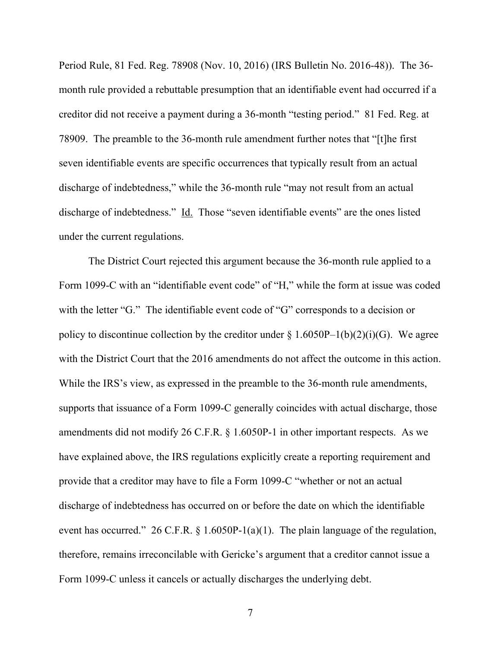Period Rule, 81 Fed. Reg. 78908 (Nov. 10, 2016) (IRS Bulletin No. 2016-48)). The 36 month rule provided a rebuttable presumption that an identifiable event had occurred if a creditor did not receive a payment during a 36-month "testing period." 81 Fed. Reg. at 78909. The preamble to the 36-month rule amendment further notes that "[t]he first seven identifiable events are specific occurrences that typically result from an actual discharge of indebtedness," while the 36-month rule "may not result from an actual discharge of indebtedness." Id. Those "seven identifiable events" are the ones listed under the current regulations.

The District Court rejected this argument because the 36-month rule applied to a Form 1099-C with an "identifiable event code" of "H," while the form at issue was coded with the letter "G." The identifiable event code of "G" corresponds to a decision or policy to discontinue collection by the creditor under  $\S 1.6050P-1(b)(2)(i)(G)$ . We agree with the District Court that the 2016 amendments do not affect the outcome in this action. While the IRS's view, as expressed in the preamble to the 36-month rule amendments, supports that issuance of a Form 1099-C generally coincides with actual discharge, those amendments did not modify 26 C.F.R. § 1.6050P-1 in other important respects. As we have explained above, the IRS regulations explicitly create a reporting requirement and provide that a creditor may have to file a Form 1099-C "whether or not an actual discharge of indebtedness has occurred on or before the date on which the identifiable event has occurred." 26 C.F.R. § 1.6050P-1(a)(1). The plain language of the regulation, therefore, remains irreconcilable with Gericke's argument that a creditor cannot issue a Form 1099-C unless it cancels or actually discharges the underlying debt.